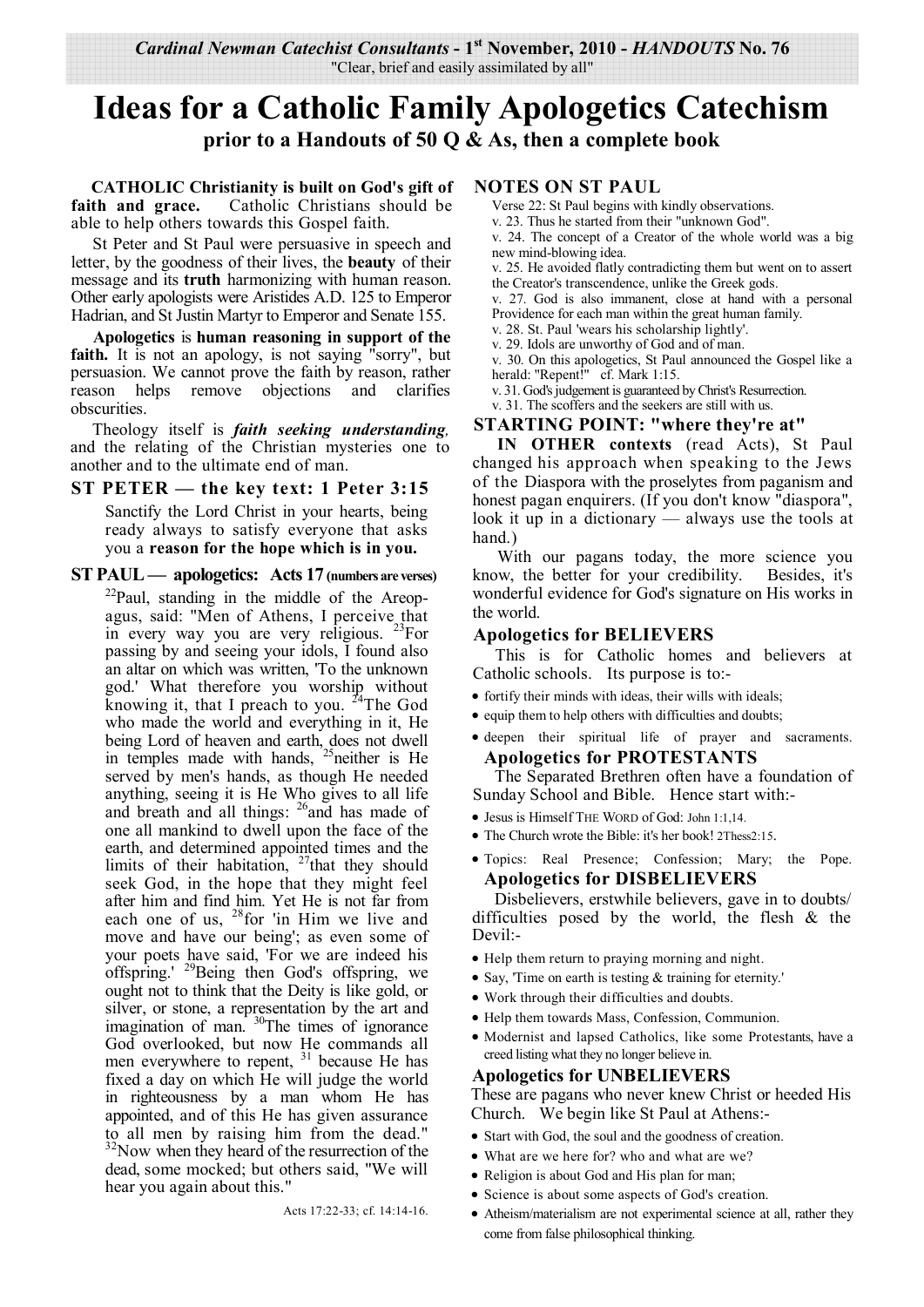*Cardinal Newman Catechist Consultants* **- 1st November, 2010 -** *HANDOUTS* **No. 76**  "Clear, brief and easily assimilated by all"

# **Ideas for a Catholic Family Apologetics Catechism prior to a Handouts of 50 Q & As, then a complete book**

 **CATHOLIC Christianity is built on God's gift of faith and grace.** Catholic Christians should be able to help others towards this Gospel faith.

St Peter and St Paul were persuasive in speech and letter, by the goodness of their lives, the **beauty** of their message and its **truth** harmonizing with human reason. Other early apologists were Aristides A.D. 125 to Emperor Hadrian, and St Justin Martyr to Emperor and Senate 155.

**Apologetics** is **human reasoning in support of the**  faith. It is not an apology, is not saying "sorry", but persuasion. We cannot prove the faith by reason, rather reason helps remove objections and clarifies obscurities.

Theology itself is *faith seeking understanding,*  and the relating of the Christian mysteries one to another and to the ultimate end of man.

**ST PETER — the key text: 1 Peter 3:15**

Sanctify the Lord Christ in your hearts, being ready always to satisfy everyone that asks you a **reason for the hope which is in you.**

#### **ST PAUL — apologetics: Acts 17 (numbers are verses)**

 $2^{2}$ Paul, standing in the middle of the Areopagus, said: "Men of Athens, I perceive that in every way you are very religious. <sup>23</sup>For passing by and seeing your idols, I found also an altar on which was written, 'To the unknown god.' What therefore you worship without knowing it, that I preach to you.  $24$ The God who made the world and everything in it, He being Lord of heaven and earth, does not dwell in temples made with hands,  $25$  neither is He served by men's hands, as though He needed anything, seeing it is He Who gives to all life and breath and all things: <sup>26</sup>and has made of one all mankind to dwell upon the face of the earth, and determined appointed times and the limits of their habitation,  $27$  that they should seek God, in the hope that they might feel after him and find him. Yet He is not far from each one of us,  $28$  for 'in Him we live and move and have our being'; as even some of your poets have said, 'For we are indeed his offspring.' <sup>29</sup>Being then God's offspring, we ought not to think that the Deity is like gold, or silver, or stone, a representation by the art and imagination of man. <sup>30</sup>The times of ignorance God overlooked, but now He commands all men everywhere to repent, <sup>31</sup> because He has fixed a day on which He will judge the world in righteousness by a man whom He has appointed, and of this He has given assurance to all men by raising him from the dead."  $32$ Now when they heard of the resurrection of the dead, some mocked; but others said, "We will hear you again about this."

**NOTES ON ST PAUL** 

- Verse 22: St Paul begins with kindly observations.
- v. 23. Thus he started from their "unknown God".

v. 24. The concept of a Creator of the whole world was a big new mind-blowing idea.

v. 25. He avoided flatly contradicting them but went on to assert the Creator's transcendence, unlike the Greek gods.

v. 27. God is also immanent, close at hand with a personal Providence for each man within the great human family.

v. 28. St. Paul 'wears his scholarship lightly'.

v. 29. Idols are unworthy of God and of man.

v. 30. On this apologetics, St Paul announced the Gospel like a herald: "Repent!" cf. Mark 1:15.

v. 31. God's judgement is guaranteed by Christ's Resurrection.

v. 31. The scoffers and the seekers are still with us.

## **STARTING POINT: "where they're at"**

 **IN OTHER contexts** (read Acts), St Paul changed his approach when speaking to the Jews of the Diaspora with the proselytes from paganism and honest pagan enquirers. (If you don't know "diaspora", look it up in a dictionary — always use the tools at hand.)

 With our pagans today, the more science you know, the better for your credibility. Besides, it's wonderful evidence for God's signature on His works in the world.

#### **Apologetics for BELIEVERS**

This is for Catholic homes and believers at Catholic schools. Its purpose is to:-

- fortify their minds with ideas, their wills with ideals;
- equip them to help others with difficulties and doubts;
- deepen their spiritual life of prayer and sacraments. **Apologetics for PROTESTANTS**

The Separated Brethren often have a foundation of Sunday School and Bible. Hence start with:-

- Jesus is Himself THE WORD of God: John 1:1,14.
- The Church wrote the Bible: it's her book! 2Thess2:15.
- Topics: Real Presence; Confession; Mary; the Pope. **Apologetics for DISBELIEVERS**

Disbelievers, erstwhile believers, gave in to doubts/ difficulties posed by the world, the flesh & the Devil:-

- Help them return to praying morning and night.
- Say, 'Time on earth is testing & training for eternity.'
- Work through their difficulties and doubts.
- Help them towards Mass, Confession, Communion.
- Modernist and lapsed Catholics, like some Protestants, have a creed listing what they no longer believe in.

## **Apologetics for UNBELIEVERS**

These are pagans who never knew Christ or heeded His Church. We begin like St Paul at Athens:-

- Start with God, the soul and the goodness of creation.
- What are we here for? who and what are we?
- Religion is about God and His plan for man;
- Science is about some aspects of God's creation.
- Atheism/materialism are not experimental science at all, rather they come from false philosophical thinking.

Acts 17:22-33; cf. 14:14-16.